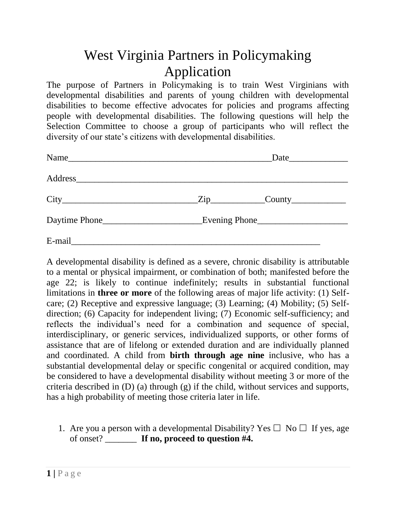## West Virginia Partners in Policymaking Application

The purpose of Partners in Policymaking is to train West Virginians with developmental disabilities and parents of young children with developmental disabilities to become effective advocates for policies and programs affecting people with developmental disabilities. The following questions will help the Selection Committee to choose a group of participants who will reflect the diversity of our state's citizens with developmental disabilities.

|        | Date                   |
|--------|------------------------|
|        |                        |
|        | $\text{Zip}\_\text{1}$ |
|        |                        |
| E-mail |                        |

A developmental disability is defined as a severe, chronic disability is attributable to a mental or physical impairment, or combination of both; manifested before the age 22; is likely to continue indefinitely; results in substantial functional limitations in **three or more** of the following areas of major life activity: (1) Selfcare; (2) Receptive and expressive language; (3) Learning; (4) Mobility; (5) Selfdirection; (6) Capacity for independent living; (7) Economic self-sufficiency; and reflects the individual's need for a combination and sequence of special, interdisciplinary, or generic services, individualized supports, or other forms of assistance that are of lifelong or extended duration and are individually planned and coordinated. A child from **birth through age nine** inclusive, who has a substantial developmental delay or specific congenital or acquired condition, may be considered to have a developmental disability without meeting 3 or more of the criteria described in (D) (a) through (g) if the child, without services and supports, has a high probability of meeting those criteria later in life.

1. Are you a person with a developmental Disability? Yes  $\Box$  No  $\Box$  If yes, age of onset? \_\_\_\_\_\_\_ **If no, proceed to question #4.**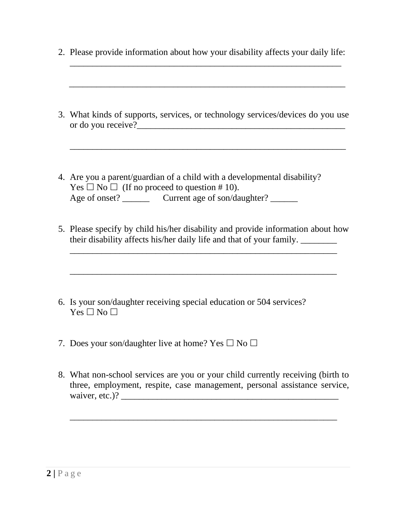|  |  |  |  |  | 2. Please provide information about how your disability affects your daily life: |  |
|--|--|--|--|--|----------------------------------------------------------------------------------|--|
|  |  |  |  |  |                                                                                  |  |

\_\_\_\_\_\_\_\_\_\_\_\_\_\_\_\_\_\_\_\_\_\_\_\_\_\_\_\_\_\_\_\_\_\_\_\_\_\_\_\_\_\_\_\_\_\_\_\_\_\_\_\_\_\_\_\_\_\_\_\_\_

\_\_\_\_\_\_\_\_\_\_\_\_\_\_\_\_\_\_\_\_\_\_\_\_\_\_\_\_\_\_\_\_\_\_\_\_\_\_\_\_\_\_\_\_\_\_\_\_\_\_\_\_\_\_\_\_\_\_\_\_

| 3. What kinds of supports, services, or technology services/devices do you use |  |  |  |
|--------------------------------------------------------------------------------|--|--|--|
| or do you receive?                                                             |  |  |  |

\_\_\_\_\_\_\_\_\_\_\_\_\_\_\_\_\_\_\_\_\_\_\_\_\_\_\_\_\_\_\_\_\_\_\_\_\_\_\_\_\_\_\_\_\_\_\_\_\_\_\_\_\_\_\_\_\_\_\_\_\_

- 4. Are you a parent/guardian of a child with a developmental disability?  $Yes \Box No \Box$  (If no proceed to question # 10). Age of onset? Current age of son/daughter?
- 5. Please specify by child his/her disability and provide information about how their disability affects his/her daily life and that of your family. \_\_\_\_\_\_\_\_

\_\_\_\_\_\_\_\_\_\_\_\_\_\_\_\_\_\_\_\_\_\_\_\_\_\_\_\_\_\_\_\_\_\_\_\_\_\_\_\_\_\_\_\_\_\_\_\_\_\_\_\_\_\_\_\_\_\_\_

\_\_\_\_\_\_\_\_\_\_\_\_\_\_\_\_\_\_\_\_\_\_\_\_\_\_\_\_\_\_\_\_\_\_\_\_\_\_\_\_\_\_\_\_\_\_\_\_\_\_\_\_\_\_\_\_\_\_\_

- 6. Is your son/daughter receiving special education or 504 services?  $Yes \Box No \Box$
- 7. Does your son/daughter live at home? Yes  $\Box$  No  $\Box$
- 8. What non-school services are you or your child currently receiving (birth to three, employment, respite, case management, personal assistance service, waiver, etc.)? \_\_\_\_\_\_\_\_\_\_\_\_\_\_\_\_\_\_\_\_\_\_\_\_\_\_\_\_\_\_\_\_\_\_\_\_\_\_\_\_\_\_\_\_\_\_\_\_

\_\_\_\_\_\_\_\_\_\_\_\_\_\_\_\_\_\_\_\_\_\_\_\_\_\_\_\_\_\_\_\_\_\_\_\_\_\_\_\_\_\_\_\_\_\_\_\_\_\_\_\_\_\_\_\_\_\_\_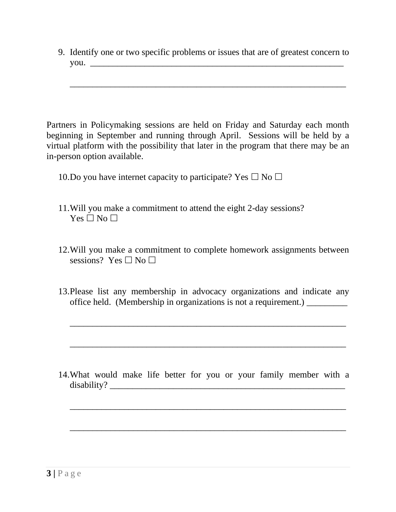9. Identify one or two specific problems or issues that are of greatest concern to you. \_\_\_\_\_\_\_\_\_\_\_\_\_\_\_\_\_\_\_\_\_\_\_\_\_\_\_\_\_\_\_\_\_\_\_\_\_\_\_\_\_\_\_\_\_\_\_\_\_\_\_\_\_\_\_\_

\_\_\_\_\_\_\_\_\_\_\_\_\_\_\_\_\_\_\_\_\_\_\_\_\_\_\_\_\_\_\_\_\_\_\_\_\_\_\_\_\_\_\_\_\_\_\_\_\_\_\_\_\_\_\_\_\_\_\_\_\_

Partners in Policymaking sessions are held on Friday and Saturday each month beginning in September and running through April. Sessions will be held by a virtual platform with the possibility that later in the program that there may be an in-person option available.

10.Do you have internet capacity to participate? Yes  $\Box$  No  $\Box$ 

- 11.Will you make a commitment to attend the eight 2-day sessions?  $Yes \Box No \Box$
- 12.Will you make a commitment to complete homework assignments between sessions? Yes  $\neg$  No  $\neg$
- 13.Please list any membership in advocacy organizations and indicate any office held. (Membership in organizations is not a requirement.) \_\_\_\_\_\_\_\_\_

\_\_\_\_\_\_\_\_\_\_\_\_\_\_\_\_\_\_\_\_\_\_\_\_\_\_\_\_\_\_\_\_\_\_\_\_\_\_\_\_\_\_\_\_\_\_\_\_\_\_\_\_\_\_\_\_\_\_\_\_\_

\_\_\_\_\_\_\_\_\_\_\_\_\_\_\_\_\_\_\_\_\_\_\_\_\_\_\_\_\_\_\_\_\_\_\_\_\_\_\_\_\_\_\_\_\_\_\_\_\_\_\_\_\_\_\_\_\_\_\_\_\_

14.What would make life better for you or your family member with a disability? \_\_\_\_\_\_\_\_\_\_\_\_\_\_\_\_\_\_\_\_\_\_\_\_\_\_\_\_\_\_\_\_\_\_\_\_\_\_\_\_\_\_\_\_\_\_\_\_\_\_\_\_

\_\_\_\_\_\_\_\_\_\_\_\_\_\_\_\_\_\_\_\_\_\_\_\_\_\_\_\_\_\_\_\_\_\_\_\_\_\_\_\_\_\_\_\_\_\_\_\_\_\_\_\_\_\_\_\_\_\_\_\_\_

\_\_\_\_\_\_\_\_\_\_\_\_\_\_\_\_\_\_\_\_\_\_\_\_\_\_\_\_\_\_\_\_\_\_\_\_\_\_\_\_\_\_\_\_\_\_\_\_\_\_\_\_\_\_\_\_\_\_\_\_\_